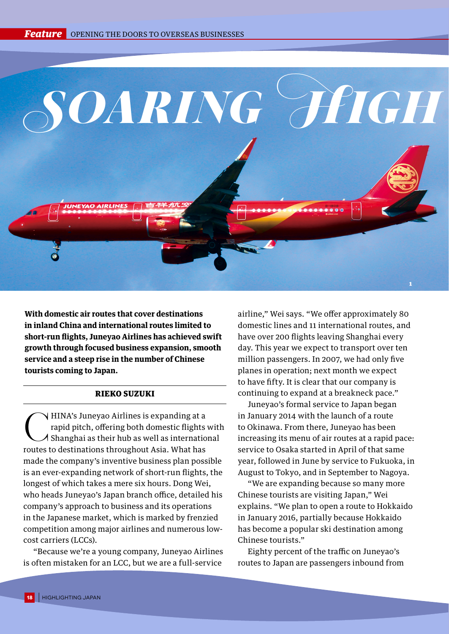

**With domestic air routes that cover destinations in inland China and international routes limited to short-run flights, Juneyao Airlines has achieved swift growth through focused business expansion, smooth service and a steep rise in the number of Chinese tourists coming to Japan.**

## RIEKO SUZUKI

**CHINA's Juneyao Airlines is expanding at a**<br>rapid pitch, offering both domestic flights<br>Shanghai as their hub as well as internation rapid pitch, offering both domestic flights with Shanghai as their hub as well as international routes to destinations throughout Asia. What has made the company's inventive business plan possible is an ever-expanding network of short-run flights, the longest of which takes a mere six hours. Dong Wei, who heads Juneyao's Japan branch office, detailed his company's approach to business and its operations in the Japanese market, which is marked by frenzied competition among major airlines and numerous lowcost carriers (LCCs).

"Because we're a young company, Juneyao Airlines is often mistaken for an LCC, but we are a full-service

airline," Wei says. "We offer approximately 80 domestic lines and 11 international routes, and have over 200 flights leaving Shanghai every day. This year we expect to transport over ten million passengers. In 2007, we had only five planes in operation; next month we expect to have fifty. It is clear that our company is continuing to expand at a breakneck pace."

Juneyao's formal service to Japan began in January 2014 with the launch of a route to Okinawa. From there, Juneyao has been increasing its menu of air routes at a rapid pace: service to Osaka started in April of that same year, followed in June by service to Fukuoka, in August to Tokyo, and in September to Nagoya.

"We are expanding because so many more Chinese tourists are visiting Japan," Wei explains. "We plan to open a route to Hokkaido in January 2016, partially because Hokkaido has become a popular ski destination among Chinese tourists."

Eighty percent of the traffic on Juneyao's routes to Japan are passengers inbound from